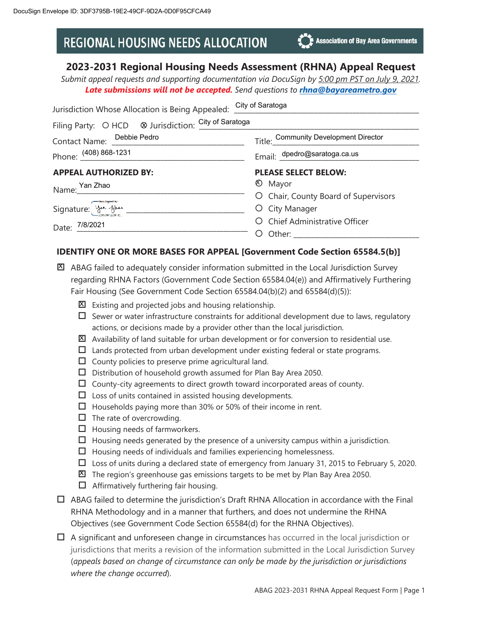# **REGIONAL HOUSING NEEDS ALLOCATION**

Association of Bay Area Governments

## **2023-2031 Regional Housing Needs Assessment (RHNA) Appeal Request**

*Submit appeal requests and supporting documentation via DocuSign by 5:00 pm PST on July 9, 2021.*  **Late submissions will not be accepted.** Send questions to *rhna@bayareametro.gov* 

| Jurisdiction Whose Allocation is Being Appealed: City of Saratoga |                                       |
|-------------------------------------------------------------------|---------------------------------------|
| Filing Party: O HCD & Jurisdiction: City of Saratoga              |                                       |
| Contact Name: Debbie Pedro                                        | Title: Community Development Director |
| Phone: (408) 868-1231                                             | Email: dpedro@saratoga.ca.us          |
| <b>APPEAL AUTHORIZED BY:</b>                                      | <b>PLEASE SELECT BELOW:</b>           |
| Name: Yan Zhao                                                    | <b>8</b> Mayor                        |
|                                                                   | O Chair, County Board of Supervisors  |
|                                                                   | O City Manager                        |
| Date: 7/8/2021                                                    | O Chief Administrative Officer        |
|                                                                   | ( )                                   |

#### **IDENTIFY ONE OR MORE BASES FOR APPEAL [Government Code Section 65584.5(b)]**

- ABAG failed to adequately consider information submitted in the Local Jurisdiction Survey regarding RHNA Factors (Government Code Section 65584.04(e)) and Affirmatively Furthering Fair Housing (See Government Code Section 65584.04(b)(2) and 65584(d)(5)):
	- $\boxtimes$  Existing and projected jobs and housing relationship.
	- $\square$  Sewer or water infrastructure constraints for additional development due to laws, regulatory actions, or decisions made by a provider other than the local jurisdiction.
	- $\boxtimes$  Availability of land suitable for urban development or for conversion to residential use.
	- $\Box$  Lands protected from urban development under existing federal or state programs.
	- $\square$  County policies to preserve prime agricultural land.
	- $\square$  Distribution of household growth assumed for Plan Bay Area 2050.
	- $\Box$  County-city agreements to direct growth toward incorporated areas of county.
	- $\square$  Loss of units contained in assisted housing developments.
	- $\Box$  Households paying more than 30% or 50% of their income in rent.
	- $\Box$  The rate of overcrowding.
	- $\Box$  Housing needs of farmworkers.
	- $\Box$  Housing needs generated by the presence of a university campus within a jurisdiction.
	- $\Box$  Housing needs of individuals and families experiencing homelessness.
	- $\Box$  Loss of units during a declared state of emergency from January 31, 2015 to February 5, 2020.
	- $\Sigma$  The region's greenhouse gas emissions targets to be met by Plan Bay Area 2050.
	- $\Box$  Affirmatively furthering fair housing.
- ABAG failed to determine the jurisdiction's Draft RHNA Allocation in accordance with the Final RHNA Methodology and in a manner that furthers, and does not undermine the RHNA Objectives (see Government Code Section 65584(d) for the RHNA Objectives).
- $\Box$  A significant and unforeseen change in circumstances has occurred in the local jurisdiction or jurisdictions that merits a revision of the information submitted in the Local Jurisdiction Survey (*appeals based on change of circumstance can only be made by the jurisdiction or jurisdictions where the change occurred*).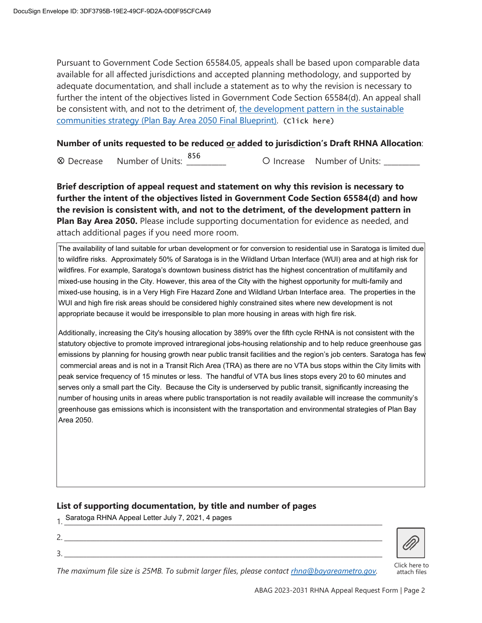Pursuant to Government Code Section 65584.05, appeals shall be based upon comparable data available for all affected jurisdictions and accepted planning methodology, and supported by adequate documentation, and shall include a statement as to why the revision is necessary to further the intent of the objectives listed in Government Code Section 65584(d). An appeal shall be consistent with, and not to the detriment of, the development pattern in the sustainable communities strategy (Plan Bay Area 2050 Final Blueprint). (Click here)

#### **Number of units requested to be reduced or added to jurisdiction's Draft RHNA Allocation**:

{ Decrease Number of Units: \_\_\_\_\_\_\_\_\_\_\_ { Increase Number of Units: \_\_\_\_\_\_\_\_\_\_ **<sup>⊗</sup>** Decrease

**Brief description of appeal request and statement on why this revision is necessary to further the intent of the objectives listed in Government Code Section 65584(d) and how the revision is consistent with, and not to the detriment, of the development pattern in Plan Bay Area 2050.** Please include supporting documentation for evidence as needed, and attach additional pages if you need more room.

The availability of land suitable for urban development or for conversion to residential use in Saratoga is limited due to wildfire risks. Approximately 50% of Saratoga is in the Wildland Urban Interface (WUI) area and at high risk for wildfires. For example, Saratoga's downtown business district has the highest concentration of multifamily and mixed-use housing in the City. However, this area of the City with the highest opportunity for multi-family and mixed-use housing, is in a Very High Fire Hazard Zone and Wildland Urban Interface area. The properties in the WUI and high fire risk areas should be considered highly constrained sites where new development is not appropriate because it would be irresponsible to plan more housing in areas with high fire risk.

Additionally, increasing the City's housing allocation by 389% over the fifth cycle RHNA is not consistent with the statutory objective to promote improved intraregional jobs-housing relationship and to help reduce greenhouse gas emissions by planning for housing growth near public transit facilities and the region's job centers. Saratoga has few commercial areas and is not in a Transit Rich Area (TRA) as there are no VTA bus stops within the City limits with peak service frequency of 15 minutes or less. The handful of VTA bus lines stops every 20 to 60 minutes and serves only a small part the City. Because the City is underserved by public transit, significantly increasing the number of housing units in areas where public transportation is not readily available will increase the community's greenhouse gas emissions which is inconsistent with the transportation and environmental strategies of Plan Bay Area 2050.

#### **List of supporting documentation, by title and number of pages**

- 1. \_\_\_\_\_\_\_\_\_\_\_\_\_\_\_\_\_\_\_\_\_\_\_\_\_\_\_\_\_\_\_\_\_\_\_\_\_\_\_\_\_\_\_\_\_\_\_\_\_\_\_\_\_\_\_\_\_\_\_\_\_\_\_\_\_\_\_\_\_\_\_\_\_\_\_\_\_\_\_\_\_\_\_\_\_\_\_\_\_\_\_\_\_\_\_\_\_\_\_ Saratoga RHNA Appeal Letter July 7, 2021, 4 pages
- 2. \_\_\_\_\_\_\_\_\_\_\_\_\_\_\_\_\_\_\_\_\_\_\_\_\_\_\_\_\_\_\_\_\_\_\_\_\_\_\_\_\_\_\_\_\_\_\_\_\_\_\_\_\_\_\_\_\_\_\_\_\_\_\_\_\_\_\_\_\_\_\_\_\_\_\_\_\_\_\_\_\_\_\_\_\_\_\_\_\_\_\_\_\_\_\_\_\_\_\_ 3. \_\_\_\_\_\_\_\_\_\_\_\_\_\_\_\_\_\_\_\_\_\_\_\_\_\_\_\_\_\_\_\_\_\_\_\_\_\_\_\_\_\_\_\_\_\_\_\_\_\_\_\_\_\_\_\_\_\_\_\_\_\_\_\_\_\_\_\_\_\_\_\_\_\_\_\_\_\_\_\_\_\_\_\_\_\_\_\_\_\_\_\_\_\_\_\_\_\_\_



attach files

*The maximum file size is 25MB. To submit larger files, please contact rhna@bayareametro.gov.* Click here to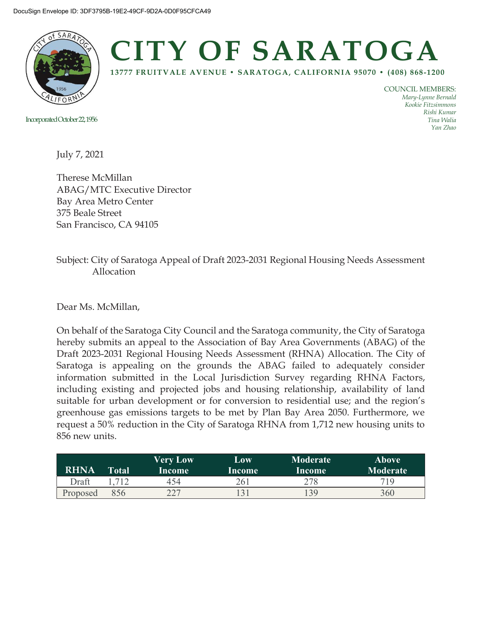

# **CITY OF SARATOGA**

**13777 FRUITVALE AVENUE • SARATOGA, CALIFORNIA 95070 • (408) 868-1200**

Incorporated October 22, 1956

COUNCIL MEMBERS: *Mary-Lynne Bernald Kookie Fitzsimmons Rishi Kumar Tina Walia Yan Zhao*

July 7, 2021

Therese McMillan ABAG/MTC Executive Director Bay Area Metro Center 375 Beale Street San Francisco, CA 94105

## Subject: City of Saratoga Appeal of Draft 2023-2031 Regional Housing Needs Assessment Allocation

Dear Ms. McMillan,

On behalf of the Saratoga City Council and the Saratoga community, the City of Saratoga hereby submits an appeal to the Association of Bay Area Governments (ABAG) of the Draft 2023-2031 Regional Housing Needs Assessment (RHNA) Allocation. The City of Saratoga is appealing on the grounds the ABAG failed to adequately consider information submitted in the Local Jurisdiction Survey regarding RHNA Factors, including existing and projected jobs and housing relationship, availability of land suitable for urban development or for conversion to residential use; and the region's greenhouse gas emissions targets to be met by Plan Bay Area 2050. Furthermore, we request a 50% reduction in the City of Saratoga RHNA from 1,712 new housing units to 856 new units.

| <b>RHNA</b> | Total' | <b>Very Low</b><br>Income | Low<br>Income | <b>Moderate</b><br>Income | Above<br><b>Moderate</b> |
|-------------|--------|---------------------------|---------------|---------------------------|--------------------------|
| Draft       |        | 454                       | 261           |                           | 719                      |
| Proposed    | 856    | つつつ                       |               | 39                        | 360                      |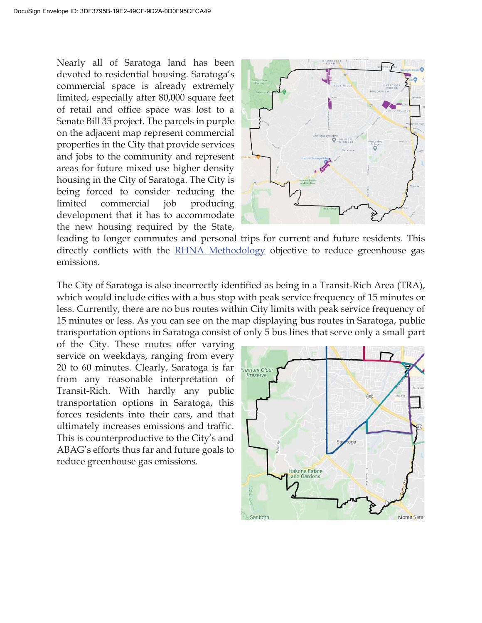Nearly all of Saratoga land has been devoted to residential housing. Saratoga's commercial space is already extremely limited, especially after 80,000 square feet of retail and office space was lost to a Senate Bill 35 project. The parcels in purple on the adjacent map represent commercial properties in the City that provide services and jobs to the community and represent areas for future mixed use higher density housing in the City of Saratoga. The City is being forced to consider reducing the limited commercial job producing development that it has to accommodate the new housing required by the State,



leading to longer commutes and personal trips for current and future residents. This directly conflicts with the RHNA Methodology objective to reduce greenhouse gas emissions.

The City of Saratoga is also incorrectly identified as being in a Transit-Rich Area (TRA), which would include cities with a bus stop with peak service frequency of 15 minutes or less. Currently, there are no bus routes within City limits with peak service frequency of 15 minutes or less. As you can see on the map displaying bus routes in Saratoga, public transportation options in Saratoga consist of only 5 bus lines that serve only a small part

of the City. These routes offer varying service on weekdays, ranging from every 20 to 60 minutes. Clearly, Saratoga is far from any reasonable interpretation of Transit-Rich. With hardly any public transportation options in Saratoga, this forces residents into their cars, and that ultimately increases emissions and traffic. This is counterproductive to the City's and ABAG's efforts thus far and future goals to reduce greenhouse gas emissions.

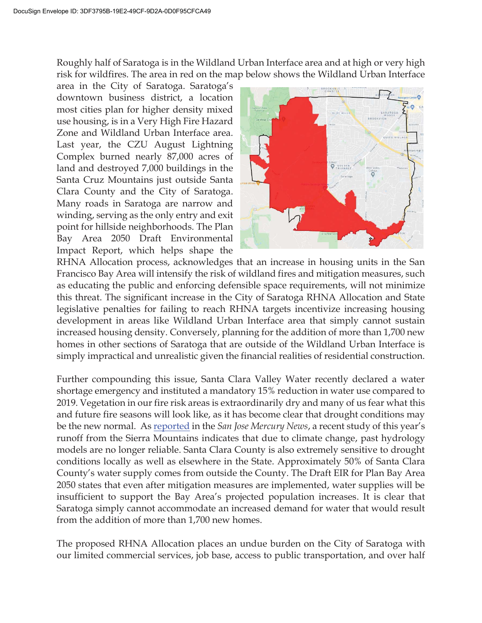Roughly half of Saratoga is in the Wildland Urban Interface area and at high or very high risk for wildfires. The area in red on the map below shows the Wildland Urban Interface

area in the City of Saratoga. Saratoga's downtown business district, a location most cities plan for higher density mixed use housing, is in a Very High Fire Hazard Zone and Wildland Urban Interface area. Last year, the CZU August Lightning Complex burned nearly 87,000 acres of land and destroyed 7,000 buildings in the Santa Cruz Mountains just outside Santa Clara County and the City of Saratoga. Many roads in Saratoga are narrow and winding, serving as the only entry and exit point for hillside neighborhoods. The Plan Bay Area 2050 Draft Environmental Impact Report, which helps shape the



RHNA Allocation process, acknowledges that an increase in housing units in the San Francisco Bay Area will intensify the risk of wildland fires and mitigation measures, such as educating the public and enforcing defensible space requirements, will not minimize this threat. The significant increase in the City of Saratoga RHNA Allocation and State legislative penalties for failing to reach RHNA targets incentivize increasing housing development in areas like Wildland Urban Interface area that simply cannot sustain increased housing density. Conversely, planning for the addition of more than 1,700 new homes in other sections of Saratoga that are outside of the Wildland Urban Interface is simply impractical and unrealistic given the financial realities of residential construction.

Further compounding this issue, Santa Clara Valley Water recently declared a water shortage emergency and instituted a mandatory 15% reduction in water use compared to 2019. Vegetation in our fire risk areas is extraordinarily dry and many of us fear what this and future fire seasons will look like, as it has become clear that drought conditions may be the new normal. As reported in the *San Jose Mercury News*, a recent study of this year's runoff from the Sierra Mountains indicates that due to climate change, past hydrology models are no longer reliable. Santa Clara County is also extremely sensitive to drought conditions locally as well as elsewhere in the State. Approximately 50% of Santa Clara County's water supply comes from outside the County. The Draft EIR for Plan Bay Area 2050 states that even after mitigation measures are implemented, water supplies will be insufficient to support the Bay Area's projected population increases. It is clear that Saratoga simply cannot accommodate an increased demand for water that would result from the addition of more than 1,700 new homes.

The proposed RHNA Allocation places an undue burden on the City of Saratoga with our limited commercial services, job base, access to public transportation, and over half